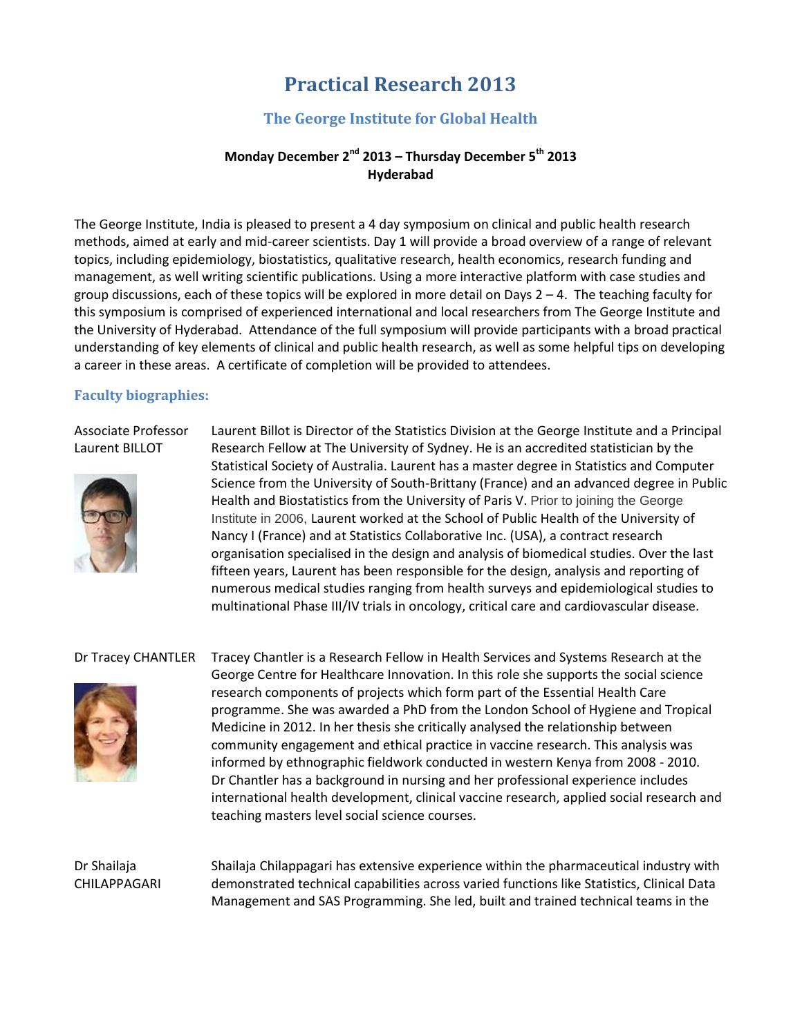## **Practical Research 2013**

#### **The George Institute for Global Health**

#### **Monday December 2nd 2013 – Thursday December 5th 2013 Hyderabad**

The George Institute, India is pleased to present a 4 day symposium on clinical and public health research methods, aimed at early and mid-career scientists. Day 1 will provide a broad overview of a range of relevant topics, including epidemiology, biostatistics, qualitative research, health economics, research funding and management, as well writing scientific publications. Using a more interactive platform with case studies and group discussions, each of these topics will be explored in more detail on Days 2 – 4. The teaching faculty for this symposium is comprised of experienced international and local researchers from The George Institute and the University of Hyderabad. Attendance of the full symposium will provide participants with a broad practical understanding of key elements of clinical and public health research, as well as some helpful tips on developing a career in these areas. A certificate of completion will be provided to attendees.

#### **Faculty biographies:**

Associate Professor Laurent BILLOT



Laurent Billot is Director of the Statistics Division at the George Institute and a Principal Research Fellow at The University of Sydney. He is an accredited statistician by the Statistical Society of Australia. Laurent has a master degree in Statistics and Computer Science from the University of South-Brittany (France) and an advanced degree in Public Health and Biostatistics from the University of Paris V. Prior to joining the George Institute in 2006, Laurent worked at the School of Public Health of the University of Nancy I (France) and at Statistics Collaborative Inc. (USA), a contract research organisation specialised in the design and analysis of biomedical studies. Over the last fifteen years, Laurent has been responsible for the design, analysis and reporting of numerous medical studies ranging from health surveys and epidemiological studies to multinational Phase III/IV trials in oncology, critical care and cardiovascular disease.



Dr Tracey CHANTLER Tracey Chantler is a Research Fellow in Health Services and Systems Research at the George Centre for Healthcare Innovation. In this role she supports the social science research components of projects which form part of the Essential Health Care programme. She was awarded a PhD from the London School of Hygiene and Tropical Medicine in 2012. In her thesis she critically analysed the relationship between community engagement and ethical practice in vaccine research. This analysis was informed by ethnographic fieldwork conducted in western Kenya from 2008 - 2010. Dr Chantler has a background in nursing and her professional experience includes international health development, clinical vaccine research, applied social research and teaching masters level social science courses.

#### Dr Shailaja CHILAPPAGARI

Shailaja Chilappagari has extensive experience within the pharmaceutical industry with demonstrated technical capabilities across varied functions like Statistics, Clinical Data Management and SAS Programming. She led, built and trained technical teams in the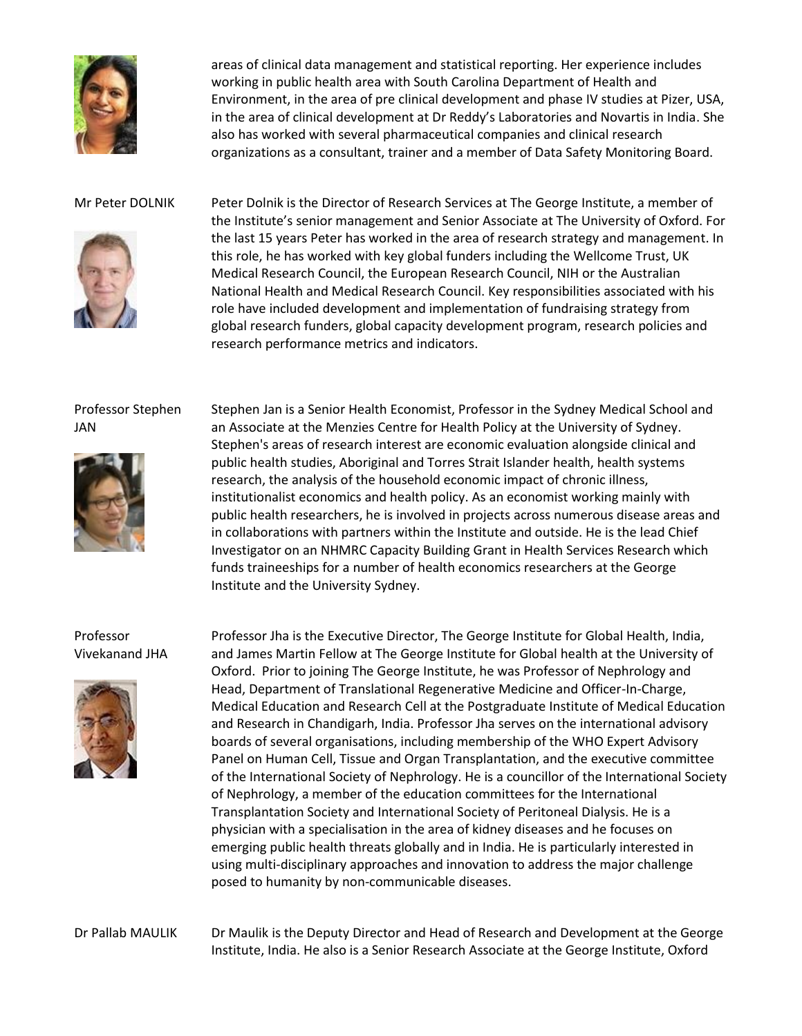

areas of clinical data management and statistical reporting. Her experience includes working in public health area with South Carolina Department of Health and Environment, in the area of pre clinical development and phase IV studies at Pizer, USA, in the area of clinical development at Dr Reddy's Laboratories and Novartis in India. She also has worked with several pharmaceutical companies and clinical research organizations as a consultant, trainer and a member of Data Safety Monitoring Board.



Mr Peter DOLNIK Peter Dolnik is the Director of Research Services at The George Institute, a member of the Institute's senior management and Senior Associate at The University of Oxford. For the last 15 years Peter has worked in the area of research strategy and management. In this role, he has worked with key global funders including the Wellcome Trust, UK Medical Research Council, the European Research Council, NIH or the Australian National Health and Medical Research Council. Key responsibilities associated with his role have included development and implementation of fundraising strategy from global research funders, global capacity development program, research policies and research performance metrics and indicators.

#### Professor Stephen JAN



Stephen Jan is a Senior Health Economist, Professor in the Sydney Medical School and an Associate at the Menzies Centre for Health Policy at the University of Sydney. Stephen's areas of research interest are economic evaluation alongside clinical and public health studies, Aboriginal and Torres Strait Islander health, health systems research, the analysis of the household economic impact of chronic illness, institutionalist economics and health policy. As an economist working mainly with public health researchers, he is involved in projects across numerous disease areas and in collaborations with partners within the Institute and outside. He is the lead Chief Investigator on an NHMRC Capacity Building Grant in Health Services Research which funds traineeships for a number of health economics researchers at the George Institute and the University Sydney.

#### Professor Vivekanand JHA



Professor Jha is the Executive Director, The George Institute for Global Health, India, and James Martin Fellow at The George Institute for Global health at the University of Oxford. Prior to joining The George Institute, he was Professor of Nephrology and Head, Department of Translational Regenerative Medicine and Officer-In-Charge, Medical Education and Research Cell at the Postgraduate Institute of Medical Education and Research in Chandigarh, India. Professor Jha serves on the international advisory boards of several organisations, including membership of the WHO Expert Advisory Panel on Human Cell, Tissue and Organ Transplantation, and the executive committee of the International Society of Nephrology. He is a councillor of the International Society of Nephrology, a member of the education committees for the International Transplantation Society and International Society of Peritoneal Dialysis. He is a physician with a specialisation in the area of kidney diseases and he focuses on emerging public health threats globally and in India. He is particularly interested in using multi-disciplinary approaches and innovation to address the major challenge posed to humanity by non-communicable diseases.

Dr Pallab MAULIK Dr Maulik is the Deputy Director and Head of Research and Development at the George Institute, India. He also is a Senior Research Associate at the George Institute, Oxford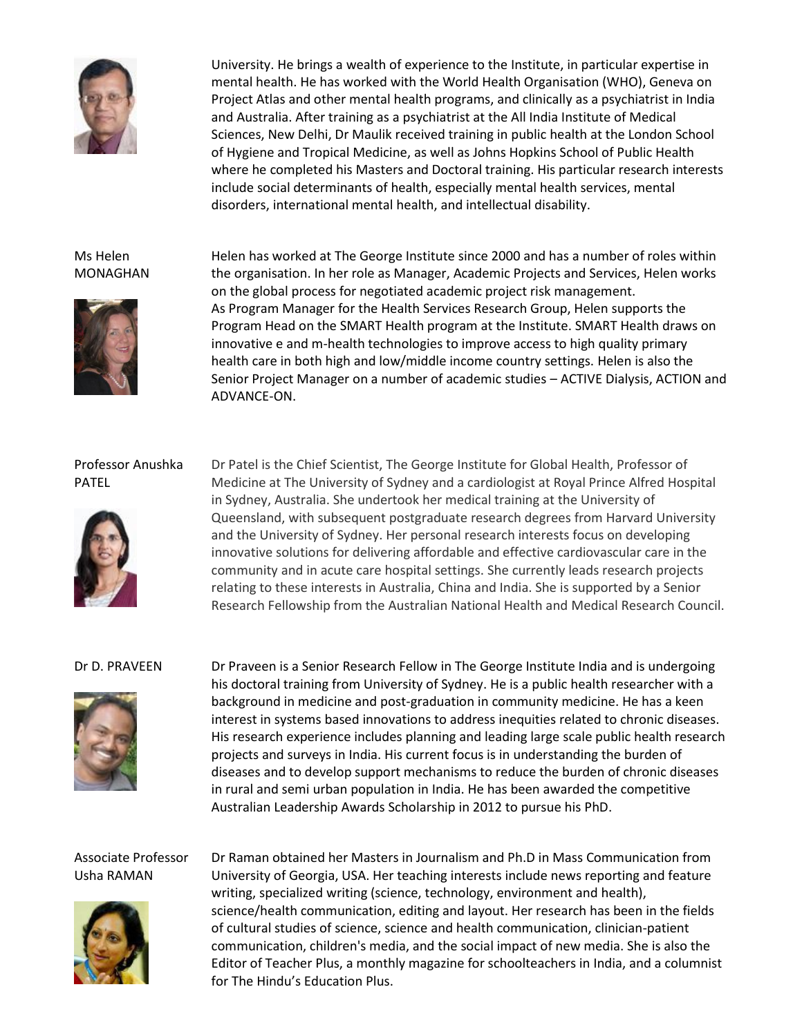

University. He brings a wealth of experience to the Institute, in particular expertise in mental health. He has worked with the World Health Organisation (WHO), Geneva on Project Atlas and other mental health programs, and clinically as a psychiatrist in India and Australia. After training as a psychiatrist at the All India Institute of Medical Sciences, New Delhi, Dr Maulik received training in public health at the London School of Hygiene and Tropical Medicine, as well as Johns Hopkins School of Public Health where he completed his Masters and Doctoral training. His particular research interests include social determinants of health, especially mental health services, mental disorders, international mental health, and intellectual disability.

#### Ms Helen MONAGHAN



Helen has worked at The George Institute since 2000 and has a number of roles within the organisation. In her role as Manager, Academic Projects and Services, Helen works on the global process for negotiated academic project risk management. As Program Manager for the Health Services Research Group, Helen supports the Program Head on the SMART Health program at the Institute. SMART Health draws on innovative e and m-health technologies to improve access to high quality primary health care in both high and low/middle income country settings. Helen is also the Senior Project Manager on a number of academic studies – ACTIVE Dialysis, ACTION and ADVANCE-ON.

#### Professor Anushka PATEL



Dr Patel is the Chief Scientist, The George Institute for Global Health, Professor of Medicine at The University of Sydney and a cardiologist at Royal Prince Alfred Hospital in Sydney, Australia. She undertook her medical training at the University of Queensland, with subsequent postgraduate research degrees from Harvard University and the University of Sydney. Her personal research interests focus on developing innovative solutions for delivering affordable and effective cardiovascular care in the community and in acute care hospital settings. She currently leads research projects relating to these interests in Australia, China and India. She is supported by a Senior Research Fellowship from the Australian National Health and Medical Research Council.



Dr D. PRAVEEN Dr Praveen is a Senior Research Fellow in The George Institute India and is undergoing his doctoral training from University of Sydney. He is a public health researcher with a background in medicine and post-graduation in community medicine. He has a keen interest in systems based innovations to address inequities related to chronic diseases. His research experience includes planning and leading large scale public health research projects and surveys in India. His current focus is in understanding the burden of diseases and to develop support mechanisms to reduce the burden of chronic diseases in rural and semi urban population in India. He has been awarded the competitive Australian Leadership Awards Scholarship in 2012 to pursue his PhD.

#### Associate Professor Usha RAMAN



Dr Raman obtained her Masters in Journalism and Ph.D in Mass Communication from University of Georgia, USA. Her teaching interests include news reporting and feature writing, specialized writing (science, technology, environment and health), science/health communication, editing and layout. Her research has been in the fields of cultural studies of science, science and health communication, clinician-patient communication, children's media, and the social impact of new media. She is also the Editor of Teacher Plus, a monthly magazine for schoolteachers in India, and a columnist for The Hindu's Education Plus.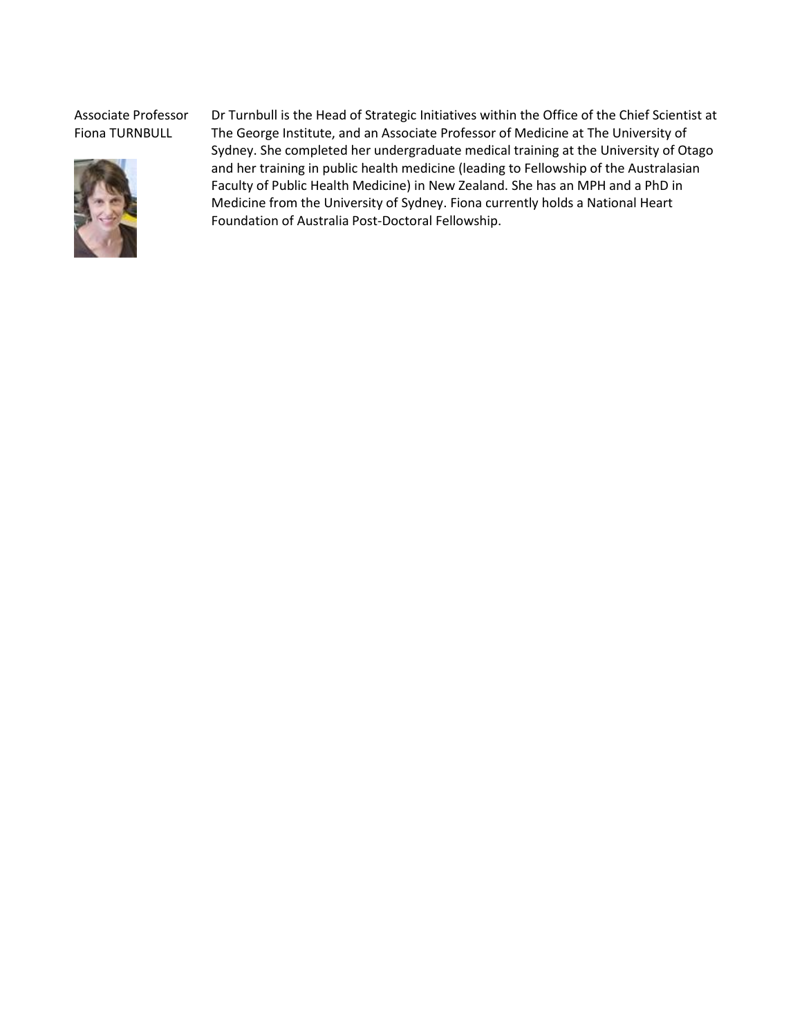Associate Professor Fiona TURNBULL



Dr Turnbull is the Head of Strategic Initiatives within the Office of the Chief Scientist at The George Institute, and an Associate Professor of Medicine at The University of Sydney. She completed her undergraduate medical training at the University of Otago and her training in public health medicine (leading to Fellowship of the Australasian Faculty of Public Health Medicine) in New Zealand. She has an MPH and a PhD in Medicine from the University of Sydney. Fiona currently holds a National Heart Foundation of Australia Post-Doctoral Fellowship.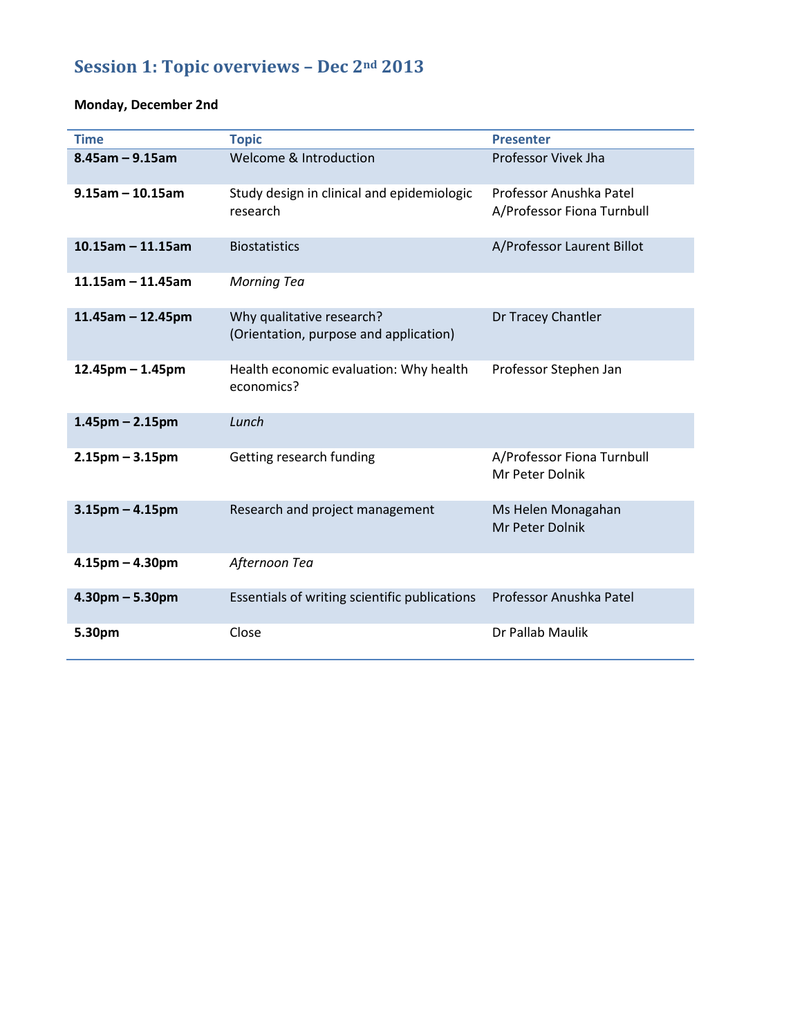# **Session 1: Topic overviews – Dec 2nd 2013**

## **Monday, December 2nd**

| <b>Time</b>           | <b>Topic</b>                                                        | <b>Presenter</b>                                      |
|-----------------------|---------------------------------------------------------------------|-------------------------------------------------------|
| $8.45$ am - 9.15am    | Welcome & Introduction                                              | Professor Vivek Jha                                   |
| $9.15$ am - 10.15am   | Study design in clinical and epidemiologic<br>research              | Professor Anushka Patel<br>A/Professor Fiona Turnbull |
| $10.15$ am - 11.15am  | <b>Biostatistics</b>                                                | A/Professor Laurent Billot                            |
| $11.15$ am - 11.45am  | <b>Morning Tea</b>                                                  |                                                       |
| $11.45$ am - 12.45pm  | Why qualitative research?<br>(Orientation, purpose and application) | Dr Tracey Chantler                                    |
| $12.45$ pm – 1.45pm   | Health economic evaluation: Why health<br>economics?                | Professor Stephen Jan                                 |
| $1.45$ pm – $2.15$ pm | Lunch                                                               |                                                       |
| $2.15$ pm – 3.15pm    | Getting research funding                                            | A/Professor Fiona Turnbull<br>Mr Peter Dolnik         |
| $3.15$ pm $- 4.15$ pm | Research and project management                                     | Ms Helen Monagahan<br>Mr Peter Dolnik                 |
| $4.15$ pm $- 4.30$ pm | Afternoon Tea                                                       |                                                       |
| $4.30pm - 5.30pm$     | Essentials of writing scientific publications                       | Professor Anushka Patel                               |
| 5.30pm                | Close                                                               | Dr Pallab Maulik                                      |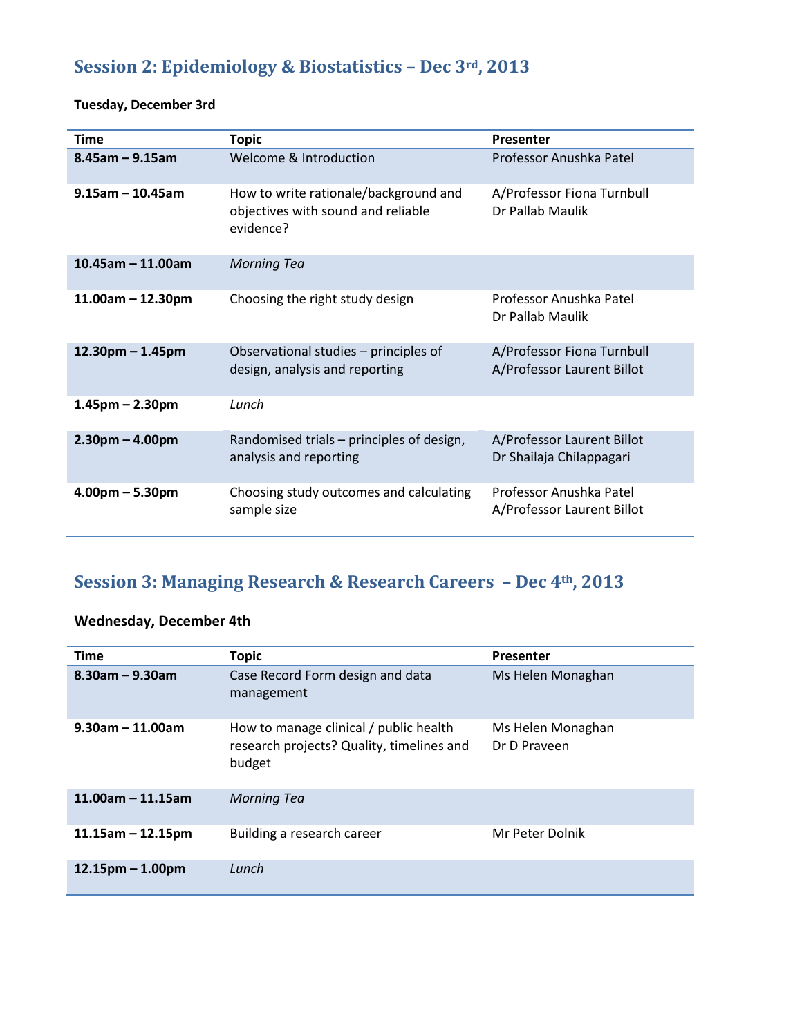## **Session 2: Epidemiology & Biostatistics – Dec 3rd, 2013**

### **Tuesday, December 3rd**

| <b>Time</b>          | <b>Topic</b>                                                                             | Presenter                                                |
|----------------------|------------------------------------------------------------------------------------------|----------------------------------------------------------|
| $8.45$ am - 9.15am   | Welcome & Introduction                                                                   | Professor Anushka Patel                                  |
| $9.15$ am - 10.45am  | How to write rationale/background and<br>objectives with sound and reliable<br>evidence? | A/Professor Fiona Turnbull<br>Dr Pallab Maulik           |
| $10.45$ am - 11.00am | <b>Morning Tea</b>                                                                       |                                                          |
| $11.00am - 12.30pm$  | Choosing the right study design                                                          | Professor Anushka Patel<br>Dr Pallab Maulik              |
| $12.30pm - 1.45pm$   | Observational studies – principles of<br>design, analysis and reporting                  | A/Professor Fiona Turnbull<br>A/Professor Laurent Billot |
| $1.45$ pm – 2.30pm   | Lunch                                                                                    |                                                          |
| $2.30pm - 4.00pm$    | Randomised trials – principles of design,<br>analysis and reporting                      | A/Professor Laurent Billot<br>Dr Shailaja Chilappagari   |
| $4.00pm - 5.30pm$    | Choosing study outcomes and calculating<br>sample size                                   | Professor Anushka Patel<br>A/Professor Laurent Billot    |

## **Session 3: Managing Research & Research Careers – Dec 4th, 2013**

### **Wednesday, December 4th**

| <b>Time</b>          | <b>Topic</b>                                                                                  | Presenter                         |
|----------------------|-----------------------------------------------------------------------------------------------|-----------------------------------|
| $8.30$ am - 9.30am   | Case Record Form design and data<br>management                                                | Ms Helen Monaghan                 |
| $9.30$ am - 11.00am  | How to manage clinical / public health<br>research projects? Quality, timelines and<br>budget | Ms Helen Monaghan<br>Dr D Praveen |
| $11.00$ am - 11.15am | <b>Morning Tea</b>                                                                            |                                   |
| $11.15$ am – 12.15pm | Building a research career                                                                    | Mr Peter Dolnik                   |
| $12.15pm - 1.00pm$   | Lunch                                                                                         |                                   |